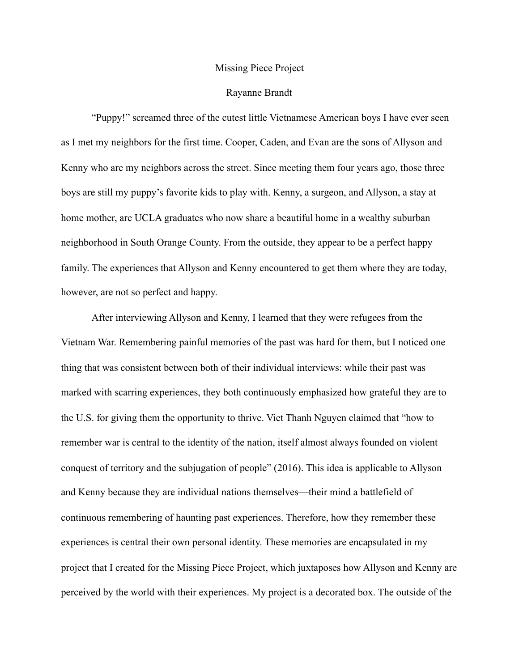## Missing Piece Project

## Rayanne Brandt

 "Puppy!" screamed three of the cutest little Vietnamese American boys I have ever seen as I met my neighbors for the first time. Cooper, Caden, and Evan are the sons of Allyson and Kenny who are my neighbors across the street. Since meeting them four years ago, those three boys are still my puppy's favorite kids to play with. Kenny, a surgeon, and Allyson, a stay at home mother, are UCLA graduates who now share a beautiful home in a wealthy suburban neighborhood in South Orange County. From the outside, they appear to be a perfect happy family. The experiences that Allyson and Kenny encountered to get them where they are today, however, are not so perfect and happy.

 After interviewing Allyson and Kenny, I learned that they were refugees from the Vietnam War. Remembering painful memories of the past was hard for them, but I noticed one thing that was consistent between both of their individual interviews: while their past was marked with scarring experiences, they both continuously emphasized how grateful they are to the U.S. for giving them the opportunity to thrive. Viet Thanh Nguyen claimed that "how to remember war is central to the identity of the nation, itself almost always founded on violent conquest of territory and the subjugation of people" (2016). This idea is applicable to Allyson and Kenny because they are individual nations themselves—their mind a battlefield of continuous remembering of haunting past experiences. Therefore, how they remember these experiences is central their own personal identity. These memories are encapsulated in my project that I created for the Missing Piece Project, which juxtaposes how Allyson and Kenny are perceived by the world with their experiences. My project is a decorated box. The outside of the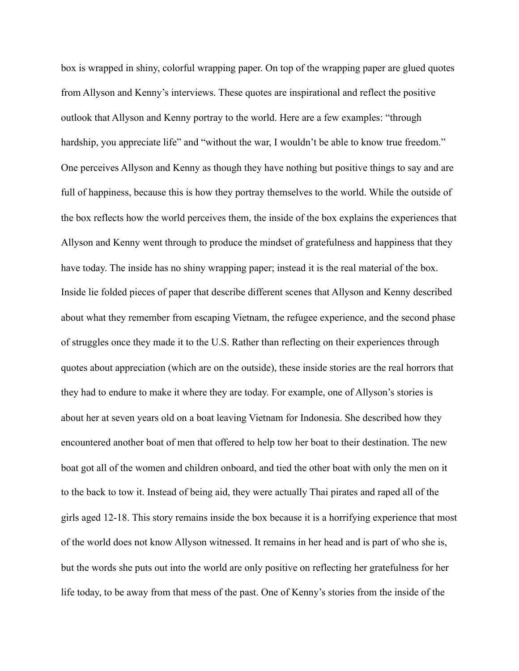box is wrapped in shiny, colorful wrapping paper. On top of the wrapping paper are glued quotes from Allyson and Kenny's interviews. These quotes are inspirational and reflect the positive outlook that Allyson and Kenny portray to the world. Here are a few examples: "through hardship, you appreciate life" and "without the war, I wouldn't be able to know true freedom." One perceives Allyson and Kenny as though they have nothing but positive things to say and are full of happiness, because this is how they portray themselves to the world. While the outside of the box reflects how the world perceives them, the inside of the box explains the experiences that Allyson and Kenny went through to produce the mindset of gratefulness and happiness that they have today. The inside has no shiny wrapping paper; instead it is the real material of the box. Inside lie folded pieces of paper that describe different scenes that Allyson and Kenny described about what they remember from escaping Vietnam, the refugee experience, and the second phase of struggles once they made it to the U.S. Rather than reflecting on their experiences through quotes about appreciation (which are on the outside), these inside stories are the real horrors that they had to endure to make it where they are today. For example, one of Allyson's stories is about her at seven years old on a boat leaving Vietnam for Indonesia. She described how they encountered another boat of men that offered to help tow her boat to their destination. The new boat got all of the women and children onboard, and tied the other boat with only the men on it to the back to tow it. Instead of being aid, they were actually Thai pirates and raped all of the girls aged 12-18. This story remains inside the box because it is a horrifying experience that most of the world does not know Allyson witnessed. It remains in her head and is part of who she is, but the words she puts out into the world are only positive on reflecting her gratefulness for her life today, to be away from that mess of the past. One of Kenny's stories from the inside of the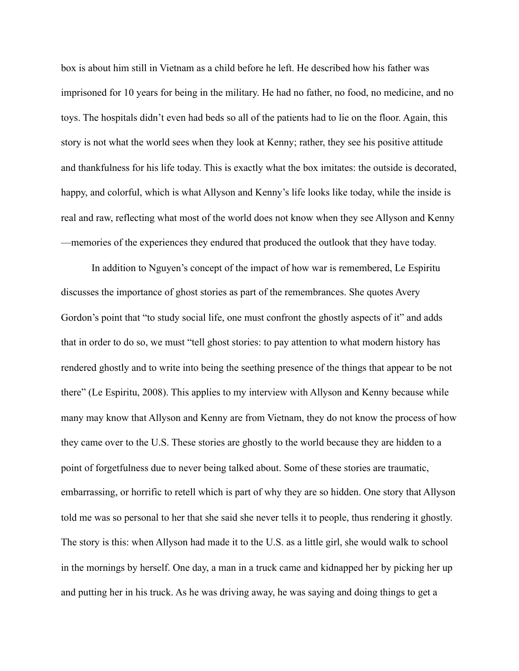box is about him still in Vietnam as a child before he left. He described how his father was imprisoned for 10 years for being in the military. He had no father, no food, no medicine, and no toys. The hospitals didn't even had beds so all of the patients had to lie on the floor. Again, this story is not what the world sees when they look at Kenny; rather, they see his positive attitude and thankfulness for his life today. This is exactly what the box imitates: the outside is decorated, happy, and colorful, which is what Allyson and Kenny's life looks like today, while the inside is real and raw, reflecting what most of the world does not know when they see Allyson and Kenny —memories of the experiences they endured that produced the outlook that they have today.

 In addition to Nguyen's concept of the impact of how war is remembered, Le Espiritu discusses the importance of ghost stories as part of the remembrances. She quotes Avery Gordon's point that "to study social life, one must confront the ghostly aspects of it" and adds that in order to do so, we must "tell ghost stories: to pay attention to what modern history has rendered ghostly and to write into being the seething presence of the things that appear to be not there" (Le Espiritu, 2008). This applies to my interview with Allyson and Kenny because while many may know that Allyson and Kenny are from Vietnam, they do not know the process of how they came over to the U.S. These stories are ghostly to the world because they are hidden to a point of forgetfulness due to never being talked about. Some of these stories are traumatic, embarrassing, or horrific to retell which is part of why they are so hidden. One story that Allyson told me was so personal to her that she said she never tells it to people, thus rendering it ghostly. The story is this: when Allyson had made it to the U.S. as a little girl, she would walk to school in the mornings by herself. One day, a man in a truck came and kidnapped her by picking her up and putting her in his truck. As he was driving away, he was saying and doing things to get a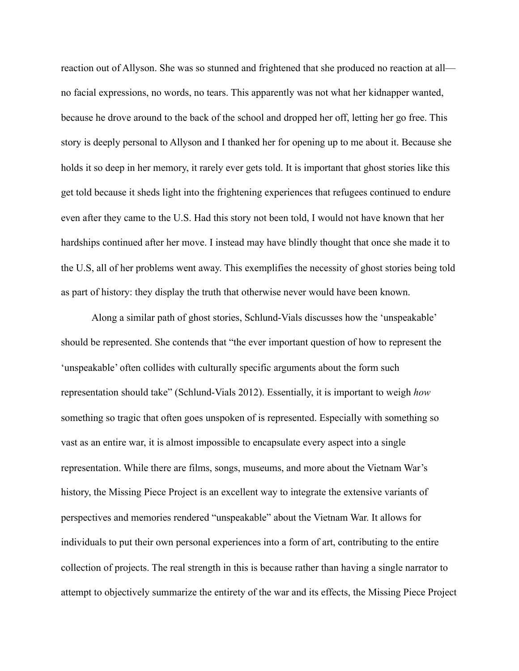reaction out of Allyson. She was so stunned and frightened that she produced no reaction at all no facial expressions, no words, no tears. This apparently was not what her kidnapper wanted, because he drove around to the back of the school and dropped her off, letting her go free. This story is deeply personal to Allyson and I thanked her for opening up to me about it. Because she holds it so deep in her memory, it rarely ever gets told. It is important that ghost stories like this get told because it sheds light into the frightening experiences that refugees continued to endure even after they came to the U.S. Had this story not been told, I would not have known that her hardships continued after her move. I instead may have blindly thought that once she made it to the U.S, all of her problems went away. This exemplifies the necessity of ghost stories being told as part of history: they display the truth that otherwise never would have been known.

 Along a similar path of ghost stories, Schlund-Vials discusses how the 'unspeakable' should be represented. She contends that "the ever important question of how to represent the 'unspeakable' often collides with culturally specific arguments about the form such representation should take" (Schlund-Vials 2012). Essentially, it is important to weigh *how* something so tragic that often goes unspoken of is represented. Especially with something so vast as an entire war, it is almost impossible to encapsulate every aspect into a single representation. While there are films, songs, museums, and more about the Vietnam War's history, the Missing Piece Project is an excellent way to integrate the extensive variants of perspectives and memories rendered "unspeakable" about the Vietnam War. It allows for individuals to put their own personal experiences into a form of art, contributing to the entire collection of projects. The real strength in this is because rather than having a single narrator to attempt to objectively summarize the entirety of the war and its effects, the Missing Piece Project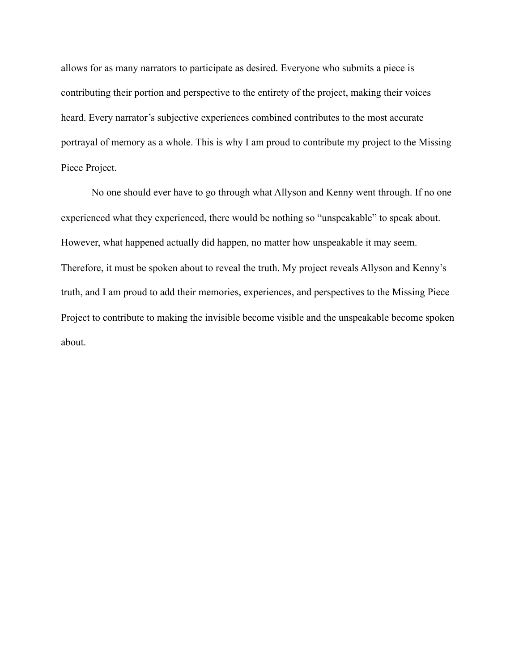allows for as many narrators to participate as desired. Everyone who submits a piece is contributing their portion and perspective to the entirety of the project, making their voices heard. Every narrator's subjective experiences combined contributes to the most accurate portrayal of memory as a whole. This is why I am proud to contribute my project to the Missing Piece Project.

 No one should ever have to go through what Allyson and Kenny went through. If no one experienced what they experienced, there would be nothing so "unspeakable" to speak about. However, what happened actually did happen, no matter how unspeakable it may seem. Therefore, it must be spoken about to reveal the truth. My project reveals Allyson and Kenny's truth, and I am proud to add their memories, experiences, and perspectives to the Missing Piece Project to contribute to making the invisible become visible and the unspeakable become spoken about.